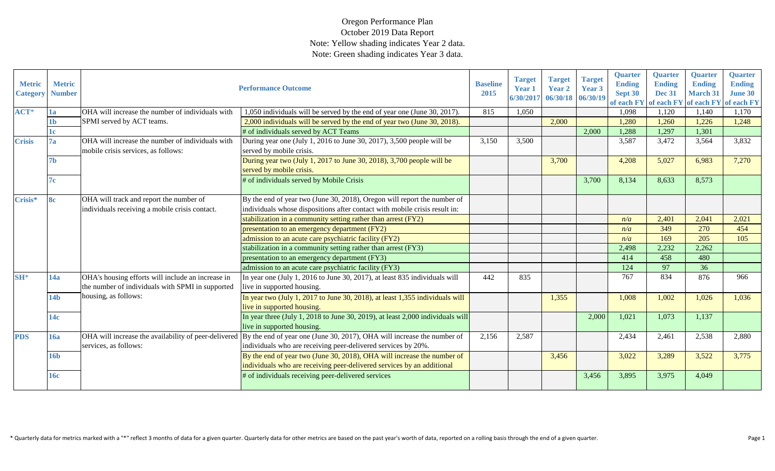| <b>Metric</b><br><b>Category</b> | <b>Metric</b><br><b>Number</b> |                                                                                         | <b>Performance Outcome</b>                                                                                                                        | <b>Baseline</b><br>2015 | <b>Target</b><br><b>Year 1</b><br>6/30/2017 | <b>Target</b><br><b>Year 2</b><br>06/30/18 06/30/19 | <b>Target</b><br>Year 3 | <b>Quarter</b><br><b>Ending</b><br>Sept 30<br>of each FY | <b>Quarter</b><br><b>Ending</b><br><b>Dec 31</b><br>of each FY | <b>Quarter</b><br><b>Ending</b><br><b>March 31</b> | Quarter<br><b>Ending</b><br><b>June 30</b><br>of each FY of each FY |
|----------------------------------|--------------------------------|-----------------------------------------------------------------------------------------|---------------------------------------------------------------------------------------------------------------------------------------------------|-------------------------|---------------------------------------------|-----------------------------------------------------|-------------------------|----------------------------------------------------------|----------------------------------------------------------------|----------------------------------------------------|---------------------------------------------------------------------|
| $ACT*$                           | 1a                             | OHA will increase the number of individuals with                                        | 1,050 individuals will be served by the end of year one (June 30, 2017).                                                                          | 815                     | 1,050                                       |                                                     |                         | 1,098                                                    | 1,120                                                          | 1,140                                              | 1.170                                                               |
|                                  | 1 <sub>b</sub>                 | SPMI served by ACT teams.                                                               | 2,000 individuals will be served by the end of year two (June 30, 2018).                                                                          |                         |                                             | 2,000                                               |                         | 1,280                                                    | 1,260                                                          | 1,226                                              | 1,248                                                               |
|                                  | 1c                             |                                                                                         | # of individuals served by ACT Teams                                                                                                              |                         |                                             |                                                     | 2,000                   | 1,288                                                    | 1,297                                                          | 1,301                                              |                                                                     |
| <b>Crisis</b>                    | 7a                             | OHA will increase the number of individuals with<br>mobile crisis services, as follows: | During year one (July 1, 2016 to June 30, 2017), 3,500 people will be<br>served by mobile crisis.                                                 | 3,150                   | 3,500                                       |                                                     |                         | 3,587                                                    | 3,472                                                          | 3,564                                              | 3,832                                                               |
|                                  | 7 <sub>b</sub>                 |                                                                                         | During year two (July 1, 2017 to June 30, 2018), 3,700 people will be<br>served by mobile crisis.                                                 |                         |                                             | 3,700                                               |                         | 4,208                                                    | 5,027                                                          | 6,983                                              | 7,270                                                               |
|                                  | 7c                             |                                                                                         | # of individuals served by Mobile Crisis                                                                                                          |                         |                                             |                                                     | 3,700                   | 8,134                                                    | 8,633                                                          | 8,573                                              |                                                                     |
| Crisis*                          | 8c                             | OHA will track and report the number of                                                 | By the end of year two (June 30, 2018), Oregon will report the number of                                                                          |                         |                                             |                                                     |                         |                                                          |                                                                |                                                    |                                                                     |
|                                  |                                | individuals receiving a mobile crisis contact.                                          | individuals whose dispositions after contact with mobile crisis result in:                                                                        |                         |                                             |                                                     |                         |                                                          |                                                                |                                                    |                                                                     |
|                                  |                                |                                                                                         | stabilization in a community setting rather than arrest (FY2)                                                                                     |                         |                                             |                                                     |                         | n/a                                                      | 2,401                                                          | 2,041                                              | 2,021                                                               |
|                                  |                                |                                                                                         | presentation to an emergency department (FY2)                                                                                                     |                         |                                             |                                                     |                         | n/a                                                      | 349                                                            | 270                                                | 454                                                                 |
|                                  |                                |                                                                                         | admission to an acute care psychiatric facility (FY2)                                                                                             |                         |                                             |                                                     |                         | n/a                                                      | 169                                                            | 205                                                | 105                                                                 |
|                                  |                                |                                                                                         | stabilization in a community setting rather than arrest (FY3)                                                                                     |                         |                                             |                                                     |                         | 2,498                                                    | 2,232                                                          | 2,262                                              |                                                                     |
|                                  |                                |                                                                                         | presentation to an emergency department (FY3)                                                                                                     |                         |                                             |                                                     |                         | 414                                                      | 458                                                            | 480                                                |                                                                     |
|                                  |                                |                                                                                         | admission to an acute care psychiatric facility (FY3)                                                                                             |                         |                                             |                                                     |                         | 124                                                      | 97                                                             | 36                                                 |                                                                     |
| $SH^*$                           | 14a                            | OHA's housing efforts will include an increase in                                       | In year one (July 1, 2016 to June 30, 2017), at least 835 individuals will                                                                        | 442                     | 835                                         |                                                     |                         | 767                                                      | 834                                                            | 876                                                | 966                                                                 |
|                                  |                                | the number of individuals with SPMI in supported                                        | live in supported housing.                                                                                                                        |                         |                                             |                                                     |                         |                                                          |                                                                |                                                    |                                                                     |
|                                  | 14 <sub>b</sub>                | housing, as follows:                                                                    | In year two (July 1, 2017 to June 30, 2018), at least 1,355 individuals will<br>live in supported housing.                                        |                         |                                             | 1,355                                               |                         | 1,008                                                    | 1,002                                                          | 1,026                                              | 1,036                                                               |
|                                  | 14c                            |                                                                                         | In year three (July 1, 2018 to June 30, 2019), at least 2,000 individuals will<br>live in supported housing.                                      |                         |                                             |                                                     | 2,000                   | 1,021                                                    | 1,073                                                          | 1,137                                              |                                                                     |
| <b>PDS</b>                       | <b>16a</b>                     | OHA will increase the availability of peer-delivered<br>services, as follows:           | By the end of year one (June 30, 2017), OHA will increase the number of<br>individuals who are receiving peer-delivered services by 20%.          | 2,156                   | 2,587                                       |                                                     |                         | 2,434                                                    | 2,461                                                          | 2,538                                              | 2,880                                                               |
|                                  | <b>16b</b>                     |                                                                                         | By the end of year two (June 30, 2018), OHA will increase the number of<br>individuals who are receiving peer-delivered services by an additional |                         |                                             | 3,456                                               |                         | 3,022                                                    | 3,289                                                          | 3,522                                              | 3,775                                                               |
|                                  | 16c                            |                                                                                         | # of individuals receiving peer-delivered services                                                                                                |                         |                                             |                                                     | 3,456                   | 3,895                                                    | 3,975                                                          | 4,049                                              |                                                                     |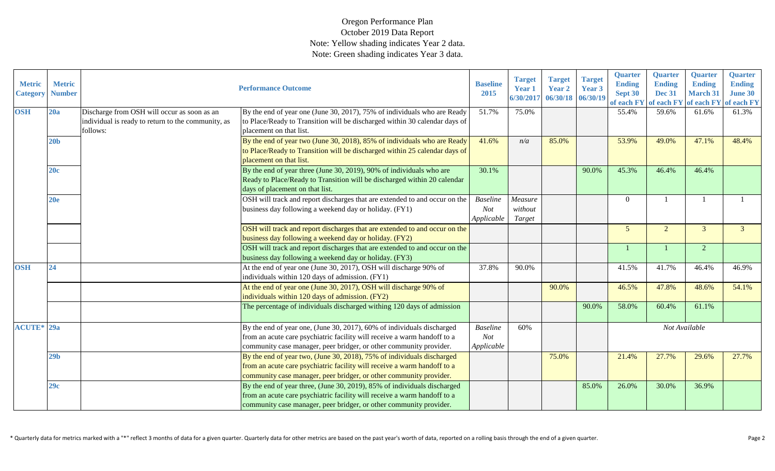| <b>Metric</b><br><b>Category</b> | <b>Metric</b><br><b>Number</b> |                                                                                                               | <b>Performance Outcome</b>                                                                                                                                                                                                 | <b>Baseline</b><br>2015              | <b>Target</b><br>Year 1<br>6/30/2017 | <b>Target</b><br>Year 2<br>06/30/18 | <b>Target</b><br>Year 3<br>06/30/19 | <b>Quarter</b><br><b>Ending</b><br>Sept 30<br>of each FY | <b>Quarter</b><br><b>Ending</b><br><b>Dec 31</b><br>of each FY | Quarter<br><b>Ending</b><br><b>March 31</b><br>of each FY | <b>Quarter</b><br><b>Ending</b><br><b>June 30</b><br>of each FY |
|----------------------------------|--------------------------------|---------------------------------------------------------------------------------------------------------------|----------------------------------------------------------------------------------------------------------------------------------------------------------------------------------------------------------------------------|--------------------------------------|--------------------------------------|-------------------------------------|-------------------------------------|----------------------------------------------------------|----------------------------------------------------------------|-----------------------------------------------------------|-----------------------------------------------------------------|
| <b>OSH</b>                       | 20a                            | Discharge from OSH will occur as soon as an<br>individual is ready to return to the community, as<br>follows: | By the end of year one (June 30, 2017), 75% of individuals who are Ready<br>to Place/Ready to Transition will be discharged within 30 calendar days of<br>placement on that list.                                          | 51.7%                                | 75.0%                                |                                     |                                     | 55.4%                                                    | 59.6%                                                          | 61.6%                                                     | 61.3%                                                           |
|                                  | 20 <sub>b</sub>                |                                                                                                               | By the end of year two (June 30, 2018), 85% of individuals who are Ready<br>to Place/Ready to Transition will be discharged within 25 calendar days of<br>placement on that list.                                          | 41.6%                                | n/a                                  | 85.0%                               |                                     | 53.9%                                                    | 49.0%                                                          | 47.1%                                                     | 48.4%                                                           |
|                                  | 20c                            |                                                                                                               | By the end of year three (June 30, 2019), 90% of individuals who are<br>Ready to Place/Ready to Transition will be discharged within 20 calendar<br>days of placement on that list.                                        | 30.1%                                |                                      |                                     | 90.0%                               | 45.3%                                                    | 46.4%                                                          | 46.4%                                                     |                                                                 |
|                                  | 20e                            |                                                                                                               | OSH will track and report discharges that are extended to and occur on the<br>business day following a weekend day or holiday. (FY1)                                                                                       | <b>Baseline</b><br>Not<br>Applicable | Measure<br>without<br>Target         |                                     |                                     | $\theta$                                                 |                                                                |                                                           |                                                                 |
|                                  |                                |                                                                                                               | OSH will track and report discharges that are extended to and occur on the<br>business day following a weekend day or holiday. (FY2)                                                                                       |                                      |                                      |                                     |                                     | 5 <sup>5</sup>                                           | $\overline{2}$                                                 | $\mathfrak{Z}$                                            |                                                                 |
|                                  |                                |                                                                                                               | OSH will track and report discharges that are extended to and occur on the<br>business day following a weekend day or holiday. (FY3)                                                                                       |                                      |                                      |                                     |                                     |                                                          |                                                                | $\overline{2}$                                            |                                                                 |
| <b>OSH</b>                       | 24                             |                                                                                                               | At the end of year one (June 30, 2017), OSH will discharge 90% of<br>individuals within 120 days of admission. (FY1)                                                                                                       | 37.8%                                | 90.0%                                |                                     |                                     | 41.5%                                                    | 41.7%                                                          | 46.4%                                                     | 46.9%                                                           |
|                                  |                                |                                                                                                               | At the end of year one (June 30, 2017), OSH will discharge 90% of<br>individuals within 120 days of admission. (FY2)                                                                                                       |                                      |                                      | 90.0%                               |                                     | 46.5%                                                    | 47.8%                                                          | 48.6%                                                     | 54.1%                                                           |
|                                  |                                |                                                                                                               | The percentage of individuals discharged withing 120 days of admission                                                                                                                                                     |                                      |                                      |                                     | 90.0%                               | 58.0%                                                    | 60.4%                                                          | 61.1%                                                     |                                                                 |
| <b>ACUTE*</b> 29a                |                                |                                                                                                               | By the end of year one, (June 30, 2017), 60% of individuals discharged<br>from an acute care psychiatric facility will receive a warm handoff to a<br>community case manager, peer bridger, or other community provider.   | <b>Baseline</b><br>Not<br>Applicable | 60%                                  |                                     |                                     |                                                          | Not Available                                                  |                                                           |                                                                 |
|                                  | 29 <sub>b</sub>                |                                                                                                               | By the end of year two, (June 30, 2018), 75% of individuals discharged<br>from an acute care psychiatric facility will receive a warm handoff to a<br>community case manager, peer bridger, or other community provider.   |                                      |                                      | 75.0%                               |                                     | 21.4%                                                    | 27.7%                                                          | 29.6%                                                     | 27.7%                                                           |
|                                  | 29c                            |                                                                                                               | By the end of year three, (June 30, 2019), 85% of individuals discharged<br>from an acute care psychiatric facility will receive a warm handoff to a<br>community case manager, peer bridger, or other community provider. |                                      |                                      |                                     | 85.0%                               | 26.0%                                                    | 30.0%                                                          | 36.9%                                                     |                                                                 |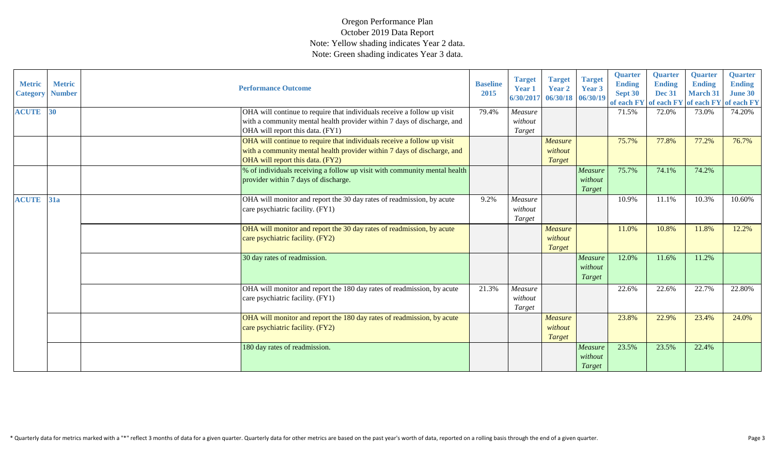| <b>Metric</b><br><b>Category</b> | <b>Metric</b><br><b>Number</b> | <b>Performance Outcome</b>                                                                                                                                                             | <b>Baseline</b><br>2015 | <b>Target</b><br><b>Year 1</b><br>6/30/2017 | <b>Target</b><br><b>Year 2</b><br>06/30/18 06/30/19 | <b>Target</b><br>Year 3      | <b>Quarter</b><br><b>Ending</b><br>Sept 30<br>of each FY | <b>Quarter</b><br><b>Ending</b><br><b>Dec 31</b><br>of each FY | <b>Quarter</b><br><b>Ending</b><br><b>March 31</b><br>of each FY | <b>Quarter</b><br><b>Ending</b><br><b>June 30</b><br>of each FY |
|----------------------------------|--------------------------------|----------------------------------------------------------------------------------------------------------------------------------------------------------------------------------------|-------------------------|---------------------------------------------|-----------------------------------------------------|------------------------------|----------------------------------------------------------|----------------------------------------------------------------|------------------------------------------------------------------|-----------------------------------------------------------------|
| <b>ACUTE</b>                     | 30                             | OHA will continue to require that individuals receive a follow up visit<br>with a community mental health provider within 7 days of discharge, and<br>OHA will report this data. (FY1) | 79.4%                   | Measure<br>without<br>Target                |                                                     |                              | 71.5%                                                    | 72.0%                                                          | 73.0%                                                            | 74.20%                                                          |
|                                  |                                | OHA will continue to require that individuals receive a follow up visit<br>with a community mental health provider within 7 days of discharge, and<br>OHA will report this data. (FY2) |                         |                                             | Measure<br>without<br>Target                        |                              | 75.7%                                                    | 77.8%                                                          | 77.2%                                                            | 76.7%                                                           |
|                                  |                                | % of individuals receiving a follow up visit with community mental health<br>provider within 7 days of discharge.                                                                      |                         |                                             |                                                     | Measure<br>without<br>Target | 75.7%                                                    | 74.1%                                                          | 74.2%                                                            |                                                                 |
| <b>ACUTE</b>                     | 31a                            | OHA will monitor and report the 30 day rates of readmission, by acute<br>care psychiatric facility. (FY1)                                                                              | 9.2%                    | Measure<br>without<br>Target                |                                                     |                              | 10.9%                                                    | 11.1%                                                          | 10.3%                                                            | 10.60%                                                          |
|                                  |                                | OHA will monitor and report the 30 day rates of readmission, by acute<br>care psychiatric facility. (FY2)                                                                              |                         |                                             | <b>Measure</b><br>without<br>Target                 |                              | 11.0%                                                    | 10.8%                                                          | 11.8%                                                            | 12.2%                                                           |
|                                  |                                | 30 day rates of readmission.                                                                                                                                                           |                         |                                             |                                                     | Measure<br>without<br>Target | 12.0%                                                    | 11.6%                                                          | 11.2%                                                            |                                                                 |
|                                  |                                | OHA will monitor and report the 180 day rates of readmission, by acute<br>care psychiatric facility. (FY1)                                                                             | 21.3%                   | Measure<br>without<br>Target                |                                                     |                              | 22.6%                                                    | 22.6%                                                          | 22.7%                                                            | 22.80%                                                          |
|                                  |                                | OHA will monitor and report the 180 day rates of readmission, by acute<br>care psychiatric facility. (FY2)                                                                             |                         |                                             | <b>Measure</b><br>without<br>Target                 |                              | 23.8%                                                    | 22.9%                                                          | 23.4%                                                            | 24.0%                                                           |
|                                  |                                | 180 day rates of readmission.                                                                                                                                                          |                         |                                             |                                                     | Measure<br>without<br>Target | 23.5%                                                    | 23.5%                                                          | 22.4%                                                            |                                                                 |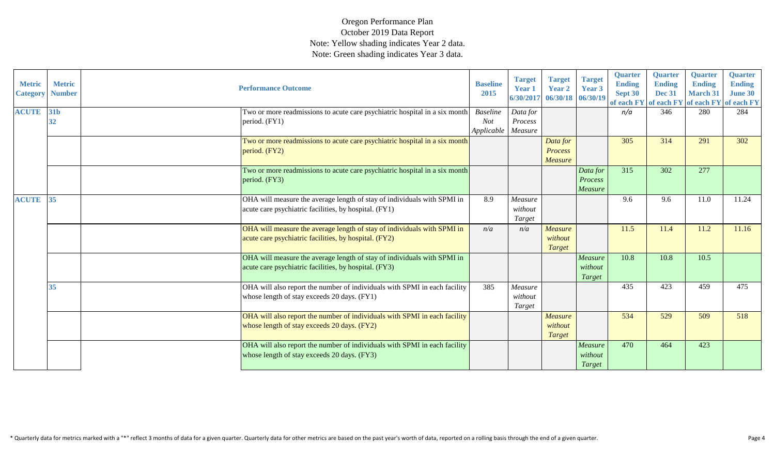| <b>Metric</b><br><b>Category</b> | <b>Metric</b><br><b>Number</b> | <b>Performance Outcome</b>                                                                                                       | <b>Baseline</b><br>2015                     | <b>Target</b><br><b>Year 1</b><br>6/30/2017 | <b>Target</b><br>Year 2<br>06/30/18 06/30/19 | <b>Target</b><br>Year 3        | <b>Quarter</b><br><b>Ending</b><br>Sept 30 | <b>Quarter</b><br><b>Ending</b><br><b>Dec 31</b> | <b>Quarter</b><br><b>Ending</b><br><b>March 31</b><br>of each FY of each FY of each FY of each FY | <b>Quarter</b><br><b>Ending</b><br>June 30 |
|----------------------------------|--------------------------------|----------------------------------------------------------------------------------------------------------------------------------|---------------------------------------------|---------------------------------------------|----------------------------------------------|--------------------------------|--------------------------------------------|--------------------------------------------------|---------------------------------------------------------------------------------------------------|--------------------------------------------|
| <b>ACUTE</b>                     | 31b<br>32                      | Two or more readmissions to acute care psychiatric hospital in a six month<br>period. (FY1)                                      | <b>Baseline</b><br><b>Not</b><br>Applicable | Data for<br>Process<br>Measure              |                                              |                                | n/a                                        | 346                                              | 280                                                                                               | 284                                        |
|                                  |                                | Two or more readmissions to acute care psychiatric hospital in a six month<br>period. (FY2)                                      |                                             |                                             | Data for<br><b>Process</b><br><b>Measure</b> |                                | 305                                        | 314                                              | 291                                                                                               | 302                                        |
|                                  |                                | Two or more readmissions to acute care psychiatric hospital in a six month<br>period. (FY3)                                      |                                             |                                             |                                              | Data for<br>Process<br>Measure | 315                                        | 302                                              | 277                                                                                               |                                            |
| <b>ACUTE</b>                     | 35                             | OHA will measure the average length of stay of individuals with SPMI in<br>acute care psychiatric facilities, by hospital. (FY1) | 8.9                                         | Measure<br>without<br>Target                |                                              |                                | 9.6                                        | 9.6                                              | 11.0                                                                                              | 11.24                                      |
|                                  |                                | OHA will measure the average length of stay of individuals with SPMI in<br>acute care psychiatric facilities, by hospital. (FY2) | n/a                                         | n/a                                         | <b>Measure</b><br>without<br><b>Target</b>   |                                | 11.5                                       | 11.4                                             | 11.2                                                                                              | 11.16                                      |
|                                  |                                | OHA will measure the average length of stay of individuals with SPMI in<br>acute care psychiatric facilities, by hospital. (FY3) |                                             |                                             |                                              | Measure<br>without<br>Target   | 10.8                                       | 10.8                                             | 10.5                                                                                              |                                            |
|                                  | 35                             | OHA will also report the number of individuals with SPMI in each facility<br>whose length of stay exceeds 20 days. (FY1)         | 385                                         | Measure<br>without<br>Target                |                                              |                                | 435                                        | 423                                              | 459                                                                                               | 475                                        |
|                                  |                                | OHA will also report the number of individuals with SPMI in each facility<br>whose length of stay exceeds 20 days. (FY2)         |                                             |                                             | <b>Measure</b><br>without<br><b>Target</b>   |                                | 534                                        | 529                                              | 509                                                                                               | 518                                        |
|                                  |                                | OHA will also report the number of individuals with SPMI in each facility<br>whose length of stay exceeds 20 days. (FY3)         |                                             |                                             |                                              | Measure<br>without<br>Target   | 470                                        | 464                                              | 423                                                                                               |                                            |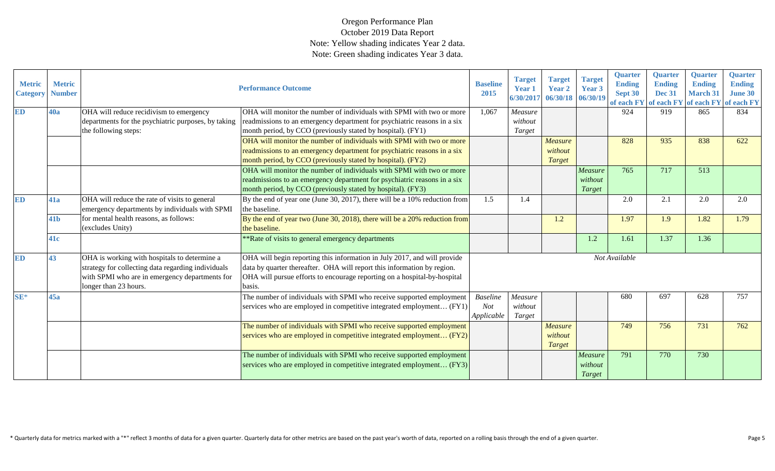| <b>Metric</b><br><b>Category</b> | <b>Metric</b><br><b>Number</b> |                                                     | <b>Performance Outcome</b>                                                 | <b>Baseline</b><br>2015 | <b>Target</b><br><b>Year 1</b><br>6/30/2017 | <b>Target</b><br>Year 2<br>06/30/18 | <b>Target</b><br>Year 3<br>06/30/19 | <b>Quarter</b><br><b>Ending</b><br>Sept 30<br>of each FY | <b>Quarter</b><br><b>Ending</b><br><b>Dec 31</b><br>of each FY of each FY of each FY | <b>Quarter</b><br><b>Ending</b><br><b>March 31</b> | <b>Quarter</b><br><b>Ending</b><br><b>June 30</b> |
|----------------------------------|--------------------------------|-----------------------------------------------------|----------------------------------------------------------------------------|-------------------------|---------------------------------------------|-------------------------------------|-------------------------------------|----------------------------------------------------------|--------------------------------------------------------------------------------------|----------------------------------------------------|---------------------------------------------------|
| ED                               | 40a                            | OHA will reduce recidivism to emergency             | OHA will monitor the number of individuals with SPMI with two or more      | 1,067                   | Measure                                     |                                     |                                     | 924                                                      | 919                                                                                  | 865                                                | 834                                               |
|                                  |                                | departments for the psychiatric purposes, by taking | readmissions to an emergency department for psychiatric reasons in a six   |                         | without                                     |                                     |                                     |                                                          |                                                                                      |                                                    |                                                   |
|                                  |                                | the following steps:                                | month period, by CCO (previously stated by hospital). (FY1)                |                         | Target                                      |                                     |                                     |                                                          |                                                                                      |                                                    |                                                   |
|                                  |                                |                                                     | OHA will monitor the number of individuals with SPMI with two or more      |                         |                                             | <b>Measure</b>                      |                                     | 828                                                      | 935                                                                                  | 838                                                | 622                                               |
|                                  |                                |                                                     | readmissions to an emergency department for psychiatric reasons in a six   |                         |                                             | without                             |                                     |                                                          |                                                                                      |                                                    |                                                   |
|                                  |                                |                                                     | month period, by CCO (previously stated by hospital). (FY2)                |                         |                                             | Target                              |                                     |                                                          |                                                                                      |                                                    |                                                   |
|                                  |                                |                                                     | OHA will monitor the number of individuals with SPMI with two or more      |                         |                                             |                                     | Measure                             | 765                                                      | 717                                                                                  | 513                                                |                                                   |
|                                  |                                |                                                     | readmissions to an emergency department for psychiatric reasons in a six   |                         |                                             |                                     | without                             |                                                          |                                                                                      |                                                    |                                                   |
|                                  |                                |                                                     | month period, by CCO (previously stated by hospital). (FY3)                |                         |                                             |                                     | Target                              |                                                          |                                                                                      |                                                    |                                                   |
| ED                               | 41a                            | OHA will reduce the rate of visits to general       | By the end of year one (June 30, 2017), there will be a 10% reduction from | 1.5                     | 1.4                                         |                                     |                                     | 2.0                                                      | 2.1                                                                                  | 2.0                                                | 2.0                                               |
|                                  |                                | emergency departments by individuals with SPMI      | the baseline.                                                              |                         |                                             |                                     |                                     |                                                          |                                                                                      |                                                    |                                                   |
|                                  | 41 <b>b</b>                    | for mental health reasons, as follows:              | By the end of year two (June 30, 2018), there will be a 20% reduction from |                         |                                             | 1.2                                 |                                     | 1.97                                                     | 1.9                                                                                  | 1.82                                               | 1.79                                              |
|                                  |                                | (excludes Unity)                                    | the baseline.                                                              |                         |                                             |                                     |                                     |                                                          |                                                                                      |                                                    |                                                   |
|                                  | <b>41c</b>                     |                                                     | **Rate of visits to general emergency departments                          |                         |                                             |                                     | 1.2                                 | 1.61                                                     | 1.37                                                                                 | 1.36                                               |                                                   |
| ED                               | 43                             | OHA is working with hospitals to determine a        | OHA will begin reporting this information in July 2017, and will provide   |                         |                                             |                                     |                                     | Not Available                                            |                                                                                      |                                                    |                                                   |
|                                  |                                | strategy for collecting data regarding individuals  | data by quarter thereafter. OHA will report this information by region.    |                         |                                             |                                     |                                     |                                                          |                                                                                      |                                                    |                                                   |
|                                  |                                | with SPMI who are in emergency departments for      | OHA will pursue efforts to encourage reporting on a hospital-by-hospital   |                         |                                             |                                     |                                     |                                                          |                                                                                      |                                                    |                                                   |
|                                  |                                | longer than 23 hours.                               | basis.                                                                     |                         |                                             |                                     |                                     |                                                          |                                                                                      |                                                    |                                                   |
| $SE*$                            | 45a                            |                                                     | The number of individuals with SPMI who receive supported employment       | <b>Baseline</b>         | Measure                                     |                                     |                                     | 680                                                      | 697                                                                                  | 628                                                | 757                                               |
|                                  |                                |                                                     | services who are employed in competitive integrated employment (FY1)       | Not                     | without                                     |                                     |                                     |                                                          |                                                                                      |                                                    |                                                   |
|                                  |                                |                                                     |                                                                            | Applicable              | Target                                      |                                     |                                     |                                                          |                                                                                      |                                                    |                                                   |
|                                  |                                |                                                     | The number of individuals with SPMI who receive supported employment       |                         |                                             | <b>Measure</b>                      |                                     | 749                                                      | 756                                                                                  | 731                                                | 762                                               |
|                                  |                                |                                                     | services who are employed in competitive integrated employment (FY2)       |                         |                                             | without                             |                                     |                                                          |                                                                                      |                                                    |                                                   |
|                                  |                                |                                                     |                                                                            |                         |                                             | <b>Target</b>                       |                                     |                                                          |                                                                                      |                                                    |                                                   |
|                                  |                                |                                                     | The number of individuals with SPMI who receive supported employment       |                         |                                             |                                     | Measure                             | 791                                                      | 770                                                                                  | 730                                                |                                                   |
|                                  |                                |                                                     | services who are employed in competitive integrated employment (FY3)       |                         |                                             |                                     | without                             |                                                          |                                                                                      |                                                    |                                                   |
|                                  |                                |                                                     |                                                                            |                         |                                             |                                     | Target                              |                                                          |                                                                                      |                                                    |                                                   |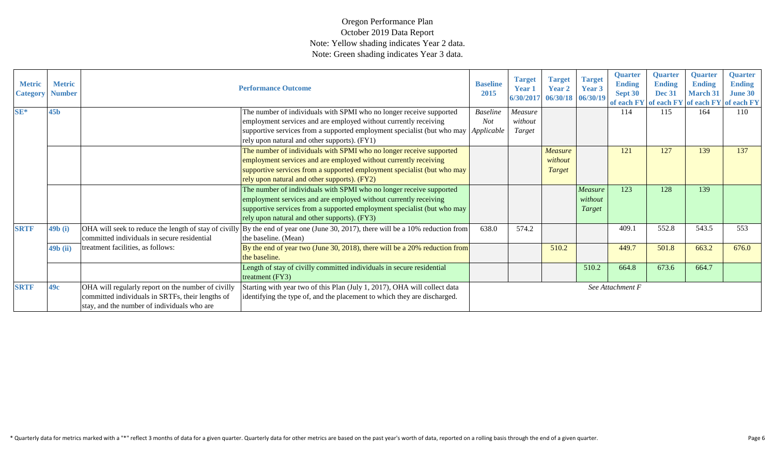| <b>Metric</b><br><b>Category</b> | <b>Metric</b><br><b>Number</b> |                                                    | <b>Performance Outcome</b>                                                                                                               | <b>Baseline</b><br>2015 | <b>Target</b><br>Year 1<br>6/30/2017 | <b>Target</b><br><b>Year 2</b><br>06/30/18 06/30/19 | <b>Target</b><br>Year 3 | <b>Quarter</b><br><b>Ending</b><br>Sept 30 | <b>Quarter</b><br><b>Ending</b><br><b>Dec 31</b> | <b>Quarter</b><br><b>Ending</b><br><b>March 31</b><br>of each FY of each FY of each FY of each FY | <b>Ouarter</b><br><b>Ending</b><br><b>June 30</b> |
|----------------------------------|--------------------------------|----------------------------------------------------|------------------------------------------------------------------------------------------------------------------------------------------|-------------------------|--------------------------------------|-----------------------------------------------------|-------------------------|--------------------------------------------|--------------------------------------------------|---------------------------------------------------------------------------------------------------|---------------------------------------------------|
| $SE*$                            | 45 <sub>b</sub>                |                                                    | The number of individuals with SPMI who no longer receive supported                                                                      | <b>Baseline</b>         | Measure                              |                                                     |                         | 114                                        | 115                                              | 164                                                                                               | 110                                               |
|                                  |                                |                                                    | employment services and are employed without currently receiving                                                                         | <b>Not</b>              | without                              |                                                     |                         |                                            |                                                  |                                                                                                   |                                                   |
|                                  |                                |                                                    | supportive services from a supported employment specialist (but who may <i>Applicable</i>                                                |                         | Target                               |                                                     |                         |                                            |                                                  |                                                                                                   |                                                   |
|                                  |                                |                                                    | rely upon natural and other supports). (FY1)                                                                                             |                         |                                      |                                                     |                         |                                            |                                                  |                                                                                                   |                                                   |
|                                  |                                |                                                    | The number of individuals with SPMI who no longer receive supported                                                                      |                         |                                      | <b>Measure</b>                                      |                         | 121                                        | 127                                              | 139                                                                                               | 137                                               |
|                                  |                                |                                                    | employment services and are employed without currently receiving                                                                         |                         |                                      | without                                             |                         |                                            |                                                  |                                                                                                   |                                                   |
|                                  |                                |                                                    | supportive services from a supported employment specialist (but who may                                                                  |                         |                                      | Target                                              |                         |                                            |                                                  |                                                                                                   |                                                   |
|                                  |                                |                                                    | rely upon natural and other supports). (FY2)                                                                                             |                         |                                      |                                                     |                         |                                            |                                                  |                                                                                                   |                                                   |
|                                  |                                |                                                    | The number of individuals with SPMI who no longer receive supported                                                                      |                         |                                      |                                                     | Measure                 | 123                                        | 128                                              | 139                                                                                               |                                                   |
|                                  |                                |                                                    | employment services and are employed without currently receiving                                                                         |                         |                                      |                                                     | without                 |                                            |                                                  |                                                                                                   |                                                   |
|                                  |                                |                                                    | supportive services from a supported employment specialist (but who may                                                                  |                         |                                      |                                                     | Target                  |                                            |                                                  |                                                                                                   |                                                   |
|                                  |                                |                                                    | rely upon natural and other supports). (FY3)                                                                                             |                         |                                      |                                                     |                         |                                            |                                                  |                                                                                                   |                                                   |
| <b>SRTF</b>                      | 49b(i)                         |                                                    | OHA will seek to reduce the length of stay of civilly $\vert$ By the end of year one (June 30, 2017), there will be a 10% reduction from | 638.0                   | 574.2                                |                                                     |                         | 409.1                                      | 552.8                                            | 543.5                                                                                             | 553                                               |
|                                  |                                | committed individuals in secure residential        | the baseline. (Mean)                                                                                                                     |                         |                                      |                                                     |                         |                                            |                                                  |                                                                                                   |                                                   |
|                                  | $49b$ (ii)                     | treatment facilities, as follows:                  | By the end of year two (June 30, 2018), there will be a 20% reduction from                                                               |                         |                                      | 510.2                                               |                         | 449.7                                      | 501.8                                            | 663.2                                                                                             | 676.0                                             |
|                                  |                                |                                                    | the baseline.                                                                                                                            |                         |                                      |                                                     |                         |                                            |                                                  |                                                                                                   |                                                   |
|                                  |                                |                                                    | Length of stay of civilly committed individuals in secure residential                                                                    |                         |                                      |                                                     | 510.2                   | 664.8                                      | 673.6                                            | 664.7                                                                                             |                                                   |
|                                  |                                |                                                    | treatment (FY3)                                                                                                                          |                         |                                      |                                                     |                         |                                            |                                                  |                                                                                                   |                                                   |
| <b>SRTF</b>                      | 49c                            | OHA will regularly report on the number of civilly | Starting with year two of this Plan (July 1, 2017), OHA will collect data                                                                |                         |                                      |                                                     |                         | See Attachment F                           |                                                  |                                                                                                   |                                                   |
|                                  |                                | committed individuals in SRTFs, their lengths of   | identifying the type of, and the placement to which they are discharged.                                                                 |                         |                                      |                                                     |                         |                                            |                                                  |                                                                                                   |                                                   |
|                                  |                                | stay, and the number of individuals who are        |                                                                                                                                          |                         |                                      |                                                     |                         |                                            |                                                  |                                                                                                   |                                                   |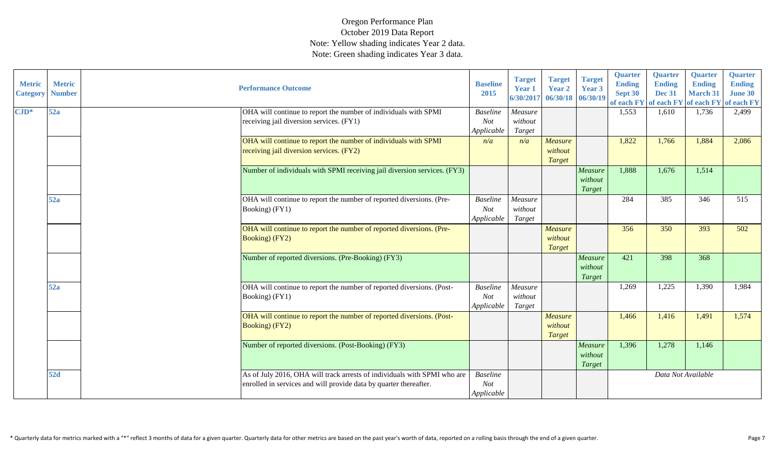| <b>Metric</b><br><b>Category</b> | <b>Metric</b><br><b>Number</b> | <b>Performance Outcome</b>                                                                                                                    | <b>Baseline</b><br>2015                     | <b>Target</b><br>Year 1<br>6/30/2017 | <b>Target</b><br><b>Year 2</b><br>06/30/18 06/30/19 | <b>Target</b><br>Year 3      | <b>Quarter</b><br><b>Ending</b><br>Sept 30<br>of each FY | <b>Quarter</b><br><b>Ending</b><br><b>Dec 31</b> | <b>Quarter</b><br><b>Ending</b><br><b>March 31</b><br>of each FY of each FY of each FY | <b>Quarter</b><br><b>Ending</b><br><b>June 30</b> |
|----------------------------------|--------------------------------|-----------------------------------------------------------------------------------------------------------------------------------------------|---------------------------------------------|--------------------------------------|-----------------------------------------------------|------------------------------|----------------------------------------------------------|--------------------------------------------------|----------------------------------------------------------------------------------------|---------------------------------------------------|
| $\mathbf{CJD}^*$                 | 52a                            | OHA will continue to report the number of individuals with SPMI<br>receiving jail diversion services. (FY1)                                   | <b>Baseline</b><br>Not<br>Applicable        | Measure<br>without<br>Target         |                                                     |                              | 1,553                                                    | 1,610                                            | 1,736                                                                                  | 2,499                                             |
|                                  |                                | OHA will continue to report the number of individuals with SPMI<br>receiving jail diversion services. (FY2)                                   | n/a                                         | n/a                                  | <b>Measure</b><br>without<br><b>Target</b>          |                              | 1,822                                                    | 1,766                                            | 1,884                                                                                  | 2,086                                             |
|                                  |                                | Number of individuals with SPMI receiving jail diversion services. (FY3)                                                                      |                                             |                                      |                                                     | Measure<br>without<br>Target | 1,888                                                    | 1,676                                            | 1,514                                                                                  |                                                   |
|                                  | 52a                            | OHA will continue to report the number of reported diversions. (Pre-<br>Booking) (FY1)                                                        | <b>Baseline</b><br><b>Not</b><br>Applicable | Measure<br>without<br>Target         |                                                     |                              | 284                                                      | 385                                              | 346                                                                                    | 515                                               |
|                                  |                                | OHA will continue to report the number of reported diversions. (Pre-<br><b>Booking</b> ) (FY2)                                                |                                             |                                      | <b>Measure</b><br>without<br><b>Target</b>          |                              | 356                                                      | 350                                              | 393                                                                                    | 502                                               |
|                                  |                                | Number of reported diversions. (Pre-Booking) (FY3)                                                                                            |                                             |                                      |                                                     | Measure<br>without<br>Target | 421                                                      | 398                                              | 368                                                                                    |                                                   |
|                                  | 52a                            | OHA will continue to report the number of reported diversions. (Post-<br>Booking) (FY1)                                                       | <b>Baseline</b><br>Not<br>Applicable        | Measure<br>without<br>Target         |                                                     |                              | 1,269                                                    | 1,225                                            | 1,390                                                                                  | 1,984                                             |
|                                  |                                | OHA will continue to report the number of reported diversions. (Post-<br>Booking) (FY2)                                                       |                                             |                                      | <b>Measure</b><br>without<br>Target                 |                              | 1,466                                                    | 1,416                                            | 1,491                                                                                  | 1,574                                             |
|                                  |                                | Number of reported diversions. (Post-Booking) (FY3)                                                                                           |                                             |                                      |                                                     | Measure<br>without<br>Target | 1,396                                                    | 1,278                                            | 1,146                                                                                  |                                                   |
|                                  | 52d                            | As of July 2016, OHA will track arrests of individuals with SPMI who are<br>enrolled in services and will provide data by quarter thereafter. | <b>Baseline</b><br><b>Not</b><br>Applicable |                                      |                                                     |                              |                                                          | Data Not Available                               |                                                                                        |                                                   |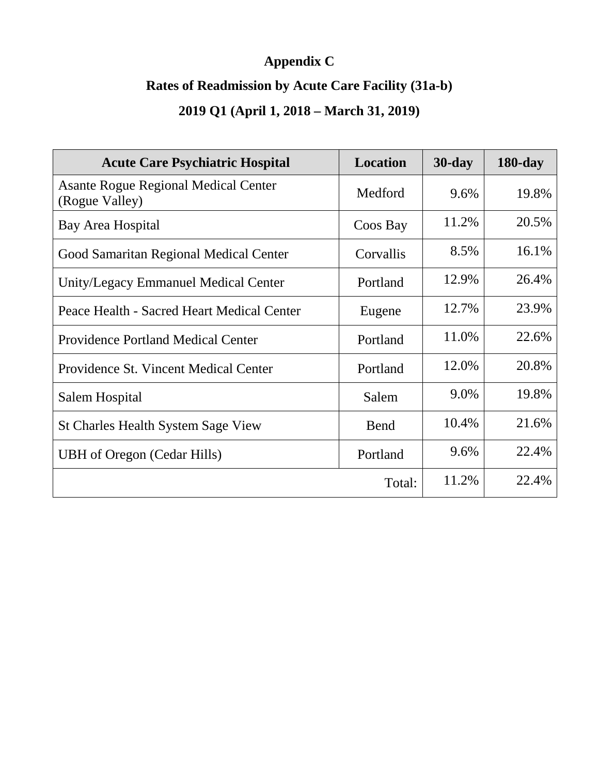## **Appendix C**

### **Rates of Readmission by Acute Care Facility (31a-b)**

### **2019 Q1 (April 1, 2018 – March 31, 2019)**

| <b>Acute Care Psychiatric Hospital</b>                        | <b>Location</b> | $30$ -day | $180$ -day |
|---------------------------------------------------------------|-----------------|-----------|------------|
| <b>Asante Rogue Regional Medical Center</b><br>(Rogue Valley) | Medford         | 9.6%      | 19.8%      |
| Bay Area Hospital                                             | Coos Bay        | 11.2%     | 20.5%      |
| Good Samaritan Regional Medical Center                        | Corvallis       | 8.5%      | 16.1%      |
| Unity/Legacy Emmanuel Medical Center                          | Portland        | 12.9%     | 26.4%      |
| Peace Health - Sacred Heart Medical Center                    | Eugene          | 12.7%     | 23.9%      |
| <b>Providence Portland Medical Center</b>                     | Portland        | 11.0%     | 22.6%      |
| Providence St. Vincent Medical Center                         | Portland        | 12.0%     | 20.8%      |
| Salem Hospital                                                | Salem           | 9.0%      | 19.8%      |
| <b>St Charles Health System Sage View</b>                     | Bend            | 10.4%     | 21.6%      |
| <b>UBH</b> of Oregon (Cedar Hills)                            | Portland        | 9.6%      | 22.4%      |
|                                                               | Total:          | 11.2%     | 22.4%      |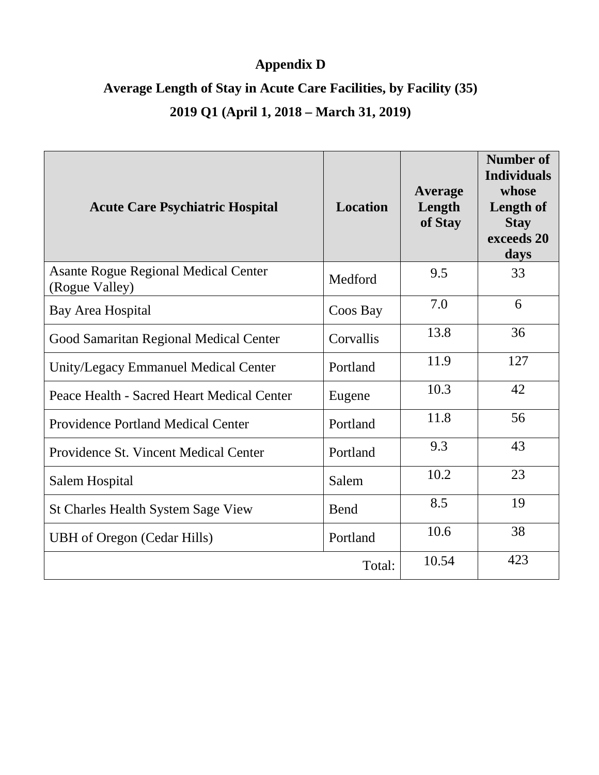### **Appendix D**

# **Average Length of Stay in Acute Care Facilities, by Facility (35)**

### **2019 Q1 (April 1, 2018 – March 31, 2019)**

| <b>Acute Care Psychiatric Hospital</b>                        | <b>Location</b> | <b>Average</b><br>Length<br>of Stay | <b>Number of</b><br><b>Individuals</b><br>whose<br>Length of<br><b>Stay</b><br>exceeds 20<br>days |
|---------------------------------------------------------------|-----------------|-------------------------------------|---------------------------------------------------------------------------------------------------|
| <b>Asante Rogue Regional Medical Center</b><br>(Rogue Valley) | Medford         | 9.5                                 | 33                                                                                                |
| <b>Bay Area Hospital</b>                                      | Coos Bay        | 7.0                                 | 6                                                                                                 |
| Good Samaritan Regional Medical Center                        | Corvallis       | 13.8                                | 36                                                                                                |
| Unity/Legacy Emmanuel Medical Center                          | Portland        | 11.9                                | 127                                                                                               |
| Peace Health - Sacred Heart Medical Center                    | Eugene          | 10.3                                | 42                                                                                                |
| <b>Providence Portland Medical Center</b>                     | Portland        | 11.8                                | 56                                                                                                |
| Providence St. Vincent Medical Center                         | Portland        | 9.3                                 | 43                                                                                                |
| Salem Hospital                                                | Salem           | 10.2                                | 23                                                                                                |
| <b>St Charles Health System Sage View</b>                     | Bend            | 8.5                                 | 19                                                                                                |
| <b>UBH</b> of Oregon (Cedar Hills)                            | Portland        | 10.6                                | 38                                                                                                |
|                                                               | Total:          | 10.54                               | 423                                                                                               |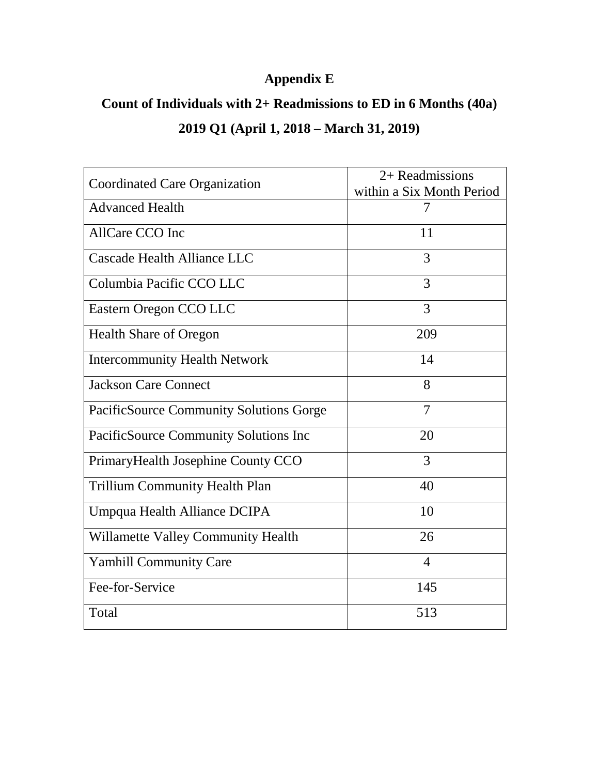### **Appendix E**

# **Count of Individuals with 2+ Readmissions to ED in 6 Months (40a) 2019 Q1 (April 1, 2018 – March 31, 2019)**

| Coordinated Care Organization             | 2+ Readmissions           |
|-------------------------------------------|---------------------------|
|                                           | within a Six Month Period |
| <b>Advanced Health</b>                    | 7                         |
| AllCare CCO Inc                           | 11                        |
| Cascade Health Alliance LLC               | 3                         |
| Columbia Pacific CCO LLC                  | 3                         |
| Eastern Oregon CCO LLC                    | 3                         |
| <b>Health Share of Oregon</b>             | 209                       |
| <b>Intercommunity Health Network</b>      | 14                        |
| <b>Jackson Care Connect</b>               | 8                         |
| PacificSource Community Solutions Gorge   | $\overline{7}$            |
| PacificSource Community Solutions Inc     | 20                        |
| PrimaryHealth Josephine County CCO        | 3                         |
| <b>Trillium Community Health Plan</b>     | 40                        |
| Umpqua Health Alliance DCIPA              | 10                        |
| <b>Willamette Valley Community Health</b> | 26                        |
| <b>Yamhill Community Care</b>             | $\overline{4}$            |
| Fee-for-Service                           | 145                       |
| Total                                     | 513                       |
|                                           |                           |